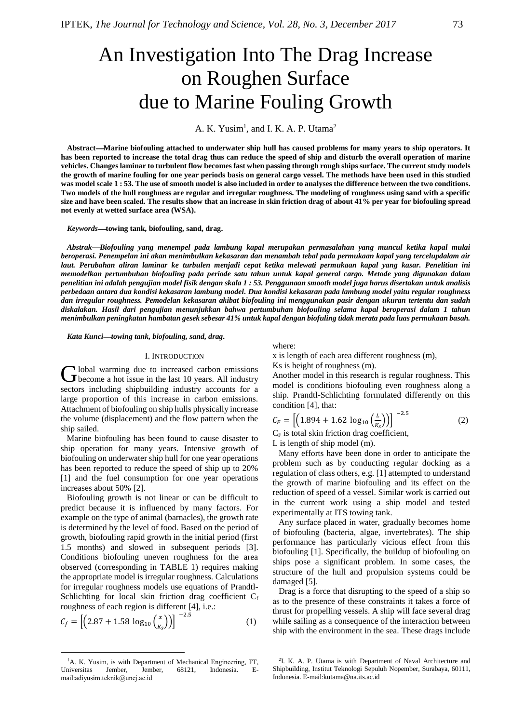# An Investigation Into The Drag Increase on Roughen Surface due to Marine Fouling Growth

A. K. Yusim<sup>1</sup>, and I. K. A. P. Utama<sup>2</sup>

**AbstractMarine biofouling attached to underwater ship hull has caused problems for many years to ship operators. It has been reported to increase the total drag thus can reduce the speed of ship and disturb the overall operation of marine vehicles. Changes laminar to turbulent flow becomes fast when passing through rough ships surface. The current study models the growth of marine fouling for one year periods basis on general cargo vessel. The methods have been used in this studied was model scale 1 : 53. The use of smooth model is also included in order to analyses the difference between the two conditions. Two models of the hull roughness are regular and irregular roughness. The modeling of roughness using sand with a specific size and have been scaled. The results show that an increase in skin friction drag of about 41% per year for biofouling spread not evenly at wetted surface area (WSA).**

## *Keywords***towing tank, biofouling, sand, drag.**

*AbstrakBiofouling yang menempel pada lambung kapal merupakan permasalahan yang muncul ketika kapal mulai beroperasi. Penempelan ini akan menimbulkan kekasaran dan menambah tebal pada permukaan kapal yang tercelupdalam air laut. Perubahan aliran laminar ke turbulen menjadi cepat ketika melewati permukaan kapal yang kasar. Penelitian ini memodelkan pertumbuhan biofouling pada periode satu tahun untuk kapal general cargo. Metode yang digunakan dalam penelitian ini adalah pengujian model fisik dengan skala 1 : 53. Penggunaan smooth model juga harus disertakan untuk analisis perbedaan antara dua kondisi kekasaran lambung model. Dua kondisi kekasaran pada lambung model yaitu regular roughness dan irregular roughness. Pemodelan kekasaran akibat biofouling ini menggunakan pasir dengan ukuran tertentu dan sudah diskalakan. Hasil dari pengujian menunjukkan bahwa pertumbuhan biofouling selama kapal beroperasi dalam 1 tahun menimbulkan peningkatan hambatan gesek sebesar 41% untuk kapal dengan biofuling tidak merata pada luas permukaan basah.*

*Kata Kuncitowing tank, biofouling, sand, drag.*

## I. INTRODUCTION

**lobal warming due to increased carbon emissions** Global warming due to increased carbon emissions<br>Gbecome a hot issue in the last 10 years. All industry sectors including shipbuilding industry accounts for a large proportion of this increase in carbon emissions. Attachment of biofouling on ship hulls physically increase the volume (displacement) and the flow pattern when the ship sailed.

Marine biofouling has been found to cause disaster to ship operation for many years. Intensive growth of biofouling on underwater ship hull for one year operations has been reported to reduce the speed of ship up to 20% [1] and the fuel consumption for one year operations increases about 50% [2].

Biofouling growth is not linear or can be difficult to predict because it is influenced by many factors. For example on the type of animal (barnacles), the growth rate is determined by the level of food. Based on the period of growth, biofouling rapid growth in the initial period (first 1.5 months) and slowed in subsequent periods [3]. Conditions biofouling uneven roughness for the area observed (corresponding in TABLE 1) requires making the appropriate model is irregular roughness. Calculations for irregular roughness models use equations of Prandtl-Schlichting for local skin friction drag coefficient  $C_f$ roughness of each region is different [4], i.e.:

$$
C_f = \left[ \left( 2.87 + 1.58 \log_{10} \left( \frac{x}{K_s} \right) \right) \right]^{-2.5} \tag{1}
$$

 $\overline{a}$ 

# where:

x is length of each area different roughness (m),

Ks is height of roughness (m).

Another model in this research is regular roughness. This model is conditions biofouling even roughness along a ship. Prandtl-Schlichting formulated differently on this condition [4], that:

$$
C_F = \left[ \left( 1.894 + 1.62 \, \log_{10} \left( \frac{L}{K_s} \right) \right) \right]^{-2.5} \tag{2}
$$

 $C_F$  is total skin friction drag coefficient, L is length of ship model (m).

Many efforts have been done in order to anticipate the problem such as by conducting regular docking as a regulation of class others, e.g. [1] attempted to understand the growth of marine biofouling and its effect on the reduction of speed of a vessel. Similar work is carried out in the current work using a ship model and tested experimentally at ITS towing tank.

Any surface placed in water, gradually becomes home of biofouling (bacteria, algae, invertebrates). The ship performance has particularly vicious effect from this biofouling [1]. Specifically, the buildup of biofouling on ships pose a significant problem. In some cases, the structure of the hull and propulsion systems could be damaged [5].

Drag is a force that disrupting to the speed of a ship so as to the presence of these constraints it takes a force of thrust for propelling vessels. A ship will face several drag while sailing as a consequence of the interaction between ship with the environment in the sea. These drags include

<sup>&</sup>lt;sup>1</sup>A. K. Yusim, is with Department of Mechanical Engineering, FT, Universitas Jember, Jember, 68121, Indonesia. Email:adiyusim.teknik@unej.ac.id

<sup>2</sup> I. K. A. P. Utama is with Department of Naval Architecture and Shipbuilding, Institut Teknologi Sepuluh Nopember, Surabaya, 60111, Indonesia. E-mail:kutama@na.its.ac.id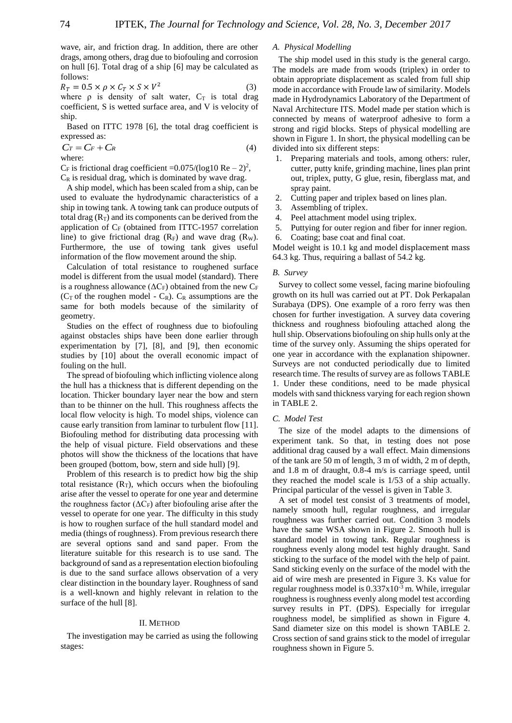wave, air, and friction drag. In addition, there are other drags, among others, drag due to biofouling and corrosion on hull [6]. Total drag of a ship [6] may be calculated as follows:

$$
R_T = 0.5 \times \rho \times C_T \times S \times V^2 \tag{3}
$$

where  $\rho$  is density of salt water,  $C_T$  is total drag coefficient, S is wetted surface area, and V is velocity of ship.

Based on ITTC 1978 [6], the total drag coefficient is expressed as:

$$
Cr = Cr + Cr \tag{4}
$$

where:

 $C_F$  is frictional drag coefficient = 0.075/(log10 Re – 2)<sup>2</sup>,  $C_R$  is residual drag, which is dominated by wave drag.

A ship model, which has been scaled from a ship, can be used to evaluate the hydrodynamic characteristics of a ship in towing tank. A towing tank can produce outputs of total drag  $(R_T)$  and its components can be derived from the application of  $C_F$  (obtained from ITTC-1957 correlation line) to give frictional drag  $(R_F)$  and wave drag  $(R_W)$ . Furthermore, the use of towing tank gives useful information of the flow movement around the ship.

Calculation of total resistance to roughened surface model is different from the usual model (standard). There is a roughness allowance ( $\Delta C_F$ ) obtained from the new  $C_F$ ( $C_T$  of the roughen model -  $C_R$ ).  $C_R$  assumptions are the same for both models because of the similarity of geometry.

Studies on the effect of roughness due to biofouling against obstacles ships have been done earlier through experimentation by [7], [8], and [9], then economic studies by [10] about the overall economic impact of fouling on the hull.

The spread of biofouling which inflicting violence along the hull has a thickness that is different depending on the location. Thicker boundary layer near the bow and stern than to be thinner on the hull. This roughness affects the local flow velocity is high. To model ships, violence can cause early transition from laminar to turbulent flow [11]. Biofouling method for distributing data processing with the help of visual picture. Field observations and these photos will show the thickness of the locations that have been grouped (bottom, bow, stern and side hull) [9].

Problem of this research is to predict how big the ship total resistance  $(R_T)$ , which occurs when the biofouling arise after the vessel to operate for one year and determine the roughness factor ( $\Delta C_F$ ) after biofouling arise after the vessel to operate for one year. The difficulty in this study is how to roughen surface of the hull standard model and media (things of roughness). From previous research there are several options sand and sand paper. From the literature suitable for this research is to use sand. The background of sand as a representation election biofouling is due to the sand surface allows observation of a very clear distinction in the boundary layer. Roughness of sand is a well-known and highly relevant in relation to the surface of the hull [8].

## II. METHOD

The investigation may be carried as using the following stages:

## *A. Physical Modelling*

The ship model used in this study is the general cargo. The models are made from woods (triplex) in order to obtain appropriate displacement as scaled from full ship mode in accordance with Froude law of similarity. Models made in Hydrodynamics Laboratory of the Department of Naval Architecture ITS. Model made per station which is connected by means of waterproof adhesive to form a strong and rigid blocks. Steps of physical modelling are shown in Figure 1. In short, the physical modelling can be divided into six different steps:

- 1. Preparing materials and tools, among others: ruler, cutter, putty knife, grinding machine, lines plan print out, triplex, putty, G glue, resin, fiberglass mat, and spray paint.
- 2. Cutting paper and triplex based on lines plan.
- 3. Assembling of triplex.
- 4. Peel attachment model using triplex.
- 5. Puttying for outer region and fiber for inner region.
- 6. Coating; base coat and final coat.

Model weight is 10.1 kg and model displacement mass 64.3 kg. Thus, requiring a ballast of 54.2 kg.

## *B. Survey*

Survey to collect some vessel, facing marine biofouling growth on its hull was carried out at PT. Dok Perkapalan Surabaya (DPS). One example of a roro ferry was then chosen for further investigation. A survey data covering thickness and roughness biofouling attached along the hull ship. Observations biofouling on ship hulls only at the time of the survey only. Assuming the ships operated for one year in accordance with the explanation shipowner. Surveys are not conducted periodically due to limited research time. The results of survey are as follows TABLE 1. Under these conditions, need to be made physical models with sand thickness varying for each region shown in TABLE 2.

## *C. Model Test*

The size of the model adapts to the dimensions of experiment tank. So that, in testing does not pose additional drag caused by a wall effect. Main dimensions of the tank are 50 m of length, 3 m of width, 2 m of depth, and 1.8 m of draught, 0.8-4 m/s is carriage speed, until they reached the model scale is 1/53 of a ship actually. Principal particular of the vessel is given in Table 3.

A set of model test consist of 3 treatments of model, namely smooth hull, regular roughness, and irregular roughness was further carried out. Condition 3 models have the same WSA shown in Figure 2. Smooth hull is standard model in towing tank. Regular roughness is roughness evenly along model test highly draught. Sand sticking to the surface of the model with the help of paint. Sand sticking evenly on the surface of the model with the aid of wire mesh are presented in Figure 3. Ks value for regular roughness model is  $0.337 \times 10^{-3}$  m. While, irregular roughness is roughness evenly along model test according survey results in PT. (DPS). Especially for irregular roughness model, be simplified as shown in Figure 4. Sand diameter size on this model is shown TABLE 2. Cross section of sand grains stick to the model of irregular roughness shown in Figure 5.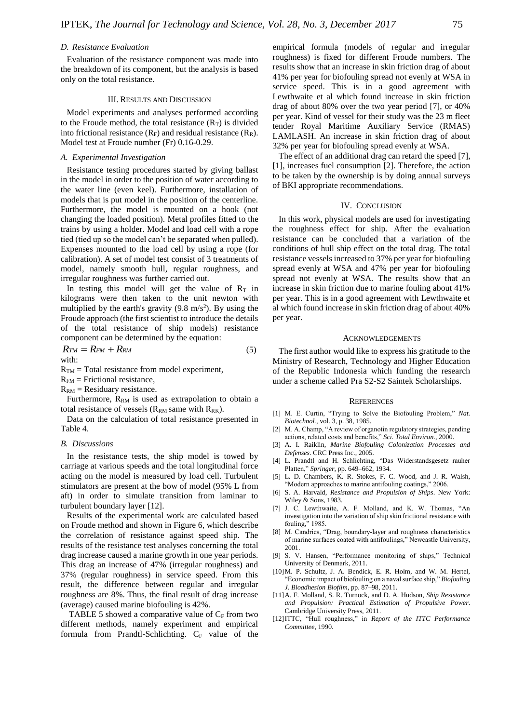#### *D. Resistance Evaluation*

Evaluation of the resistance component was made into the breakdown of its component, but the analysis is based only on the total resistance.

# III. RESULTS AND DISCUSSION

Model experiments and analyses performed according to the Froude method, the total resistance  $(R<sub>T</sub>)$  is divided into frictional resistance  $(R_F)$  and residual resistance  $(R_R)$ . Model test at Froude number (Fr) 0.16-0.29.

## *A. Experimental Investigation*

Resistance testing procedures started by giving ballast in the model in order to the position of water according to the water line (even keel). Furthermore, installation of models that is put model in the position of the centerline. Furthermore, the model is mounted on a hook (not changing the loaded position). Metal profiles fitted to the trains by using a holder. Model and load cell with a rope tied (tied up so the model can't be separated when pulled). Expenses mounted to the load cell by using a rope (for calibration). A set of model test consist of 3 treatments of model, namely smooth hull, regular roughness, and irregular roughness was further carried out.

In testing this model will get the value of  $R_T$  in kilograms were then taken to the unit newton with multiplied by the earth's gravity  $(9.8 \text{ m/s}^2)$ . By using the Froude approach (the first scientist to introduce the details of the total resistance of ship models) resistance component can be determined by the equation:

$$
R_{TM} = R_{FM} + R_{RM}
$$
\nwith:

\n
$$
R_{TM} = \frac{1}{2}R_{TM} + \frac{1}{2}R_{TM}
$$

 $R_{TM}$  = Total resistance from model experiment,

- $R_{FM}$  = Frictional resistance,
- $R_{RM}$  = Residuary resistance.

Furthermore, R<sub>RM</sub> is used as extrapolation to obtain a total resistance of vessels ( $R_{RM}$  same with  $R_{RK}$ ).

Data on the calculation of total resistance presented in Table 4.

#### *B. Discussions*

In the resistance tests, the ship model is towed by carriage at various speeds and the total longitudinal force acting on the model is measured by load cell. Turbulent stimulators are present at the bow of model (95% L from aft) in order to simulate transition from laminar to turbulent boundary layer [12].

Results of the experimental work are calculated based on Froude method and shown in Figure 6, which describe the correlation of resistance against speed ship. The results of the resistance test analyses concerning the total drag increase caused a marine growth in one year periods. This drag an increase of 47% (irregular roughness) and 37% (regular roughness) in service speed. From this result, the difference between regular and irregular roughness are 8%. Thus, the final result of drag increase (average) caused marine biofouling is 42%.

TABLE 5 showed a comparative value of  $C_F$  from two different methods, namely experiment and empirical formula from Prandtl-Schlichting.  $C_F$  value of the empirical formula (models of regular and irregular roughness) is fixed for different Froude numbers. The results show that an increase in skin friction drag of about 41% per year for biofouling spread not evenly at WSA in service speed. This is in a good agreement with Lewthwaite et al which found increase in skin friction drag of about 80% over the two year period [7], or 40% per year. Kind of vessel for their study was the 23 m fleet tender Royal Maritime Auxiliary Service (RMAS) LAMLASH. An increase in skin friction drag of about 32% per year for biofouling spread evenly at WSA.

The effect of an additional drag can retard the speed [7], [1], increases fuel consumption [2]. Therefore, the action to be taken by the ownership is by doing annual surveys of BKI appropriate recommendations.

## IV. CONCLUSION

In this work, physical models are used for investigating the roughness effect for ship. After the evaluation resistance can be concluded that a variation of the conditions of hull ship effect on the total drag. The total resistance vessels increased to 37% per year for biofouling spread evenly at WSA and 47% per year for biofouling spread not evenly at WSA. The results show that an increase in skin friction due to marine fouling about 41% per year. This is in a good agreement with Lewthwaite et al which found increase in skin friction drag of about 40% per year.

#### ACKNOWLEDGEMENTS

The first author would like to express his gratitude to the Ministry of Research, Technology and Higher Education of the Republic Indonesia which funding the research under a scheme called Pra S2-S2 Saintek Scholarships.

#### **REFERENCES**

- [1] M. E. Curtin, "Trying to Solve the Biofouling Problem," *Nat. Biotechnol.*, vol. 3, p. 38, 1985.
- [2] M. A. Champ, "A review of organotin regulatory strategies, pending actions, related costs and benefits," *Sci. Total Environ.*, 2000.
- [3] A. I. Raiklin, *Marine Biofouling Colonization Processes and Defenses*. CRC Press Inc., 2005.
- [4] L. Prandtl and H. Schlichting, "Das Widerstandsgesetz rauher Platten," *Springer*, pp. 649–662, 1934.
- [5] L. D. Chambers, K. R. Stokes, F. C. Wood, and J. R. Walsh, "Modern approaches to marine antifouling coatings," 2006.
- [6] S. A. Harvald, *Resistance and Propulsion of Ships*. New York: Wiley & Sons, 1983.
- [7] J. C. Lewthwaite, A. F. Molland, and K. W. Thomas, "An investigation into the variation of ship skin frictional resistance with fouling," 1985.
- [8] M. Candries, "Drag, boundary-layer and roughness characteristics of marine surfaces coated with antifoulings," Newcastle University, 2001.
- [9] S. V. Hansen, "Performance monitoring of ships," Technical University of Denmark, 2011.
- [10] M. P. Schultz, J. A. Bendick, E. R. Holm, and W. M. Hertel, "Economic impact of biofouling on a naval surface ship," *Biofouling J. Bioadhesion Biofilm*, pp. 87–98, 2011.
- [11]A. F. Molland, S. R. Turnock, and D. A. Hudson, *Ship Resistance and Propulsion: Practical Estimation of Propulsive Power*. Cambridge University Press, 2011.
- [12]ITTC, "Hull roughness," in *Report of the ITTC Performance Committee*, 1990.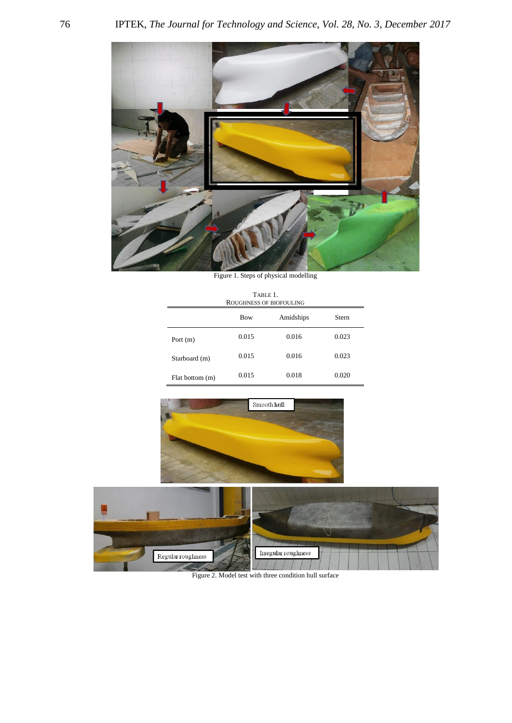

Figure 1. Steps of physical modelling

| TABLE 1<br>ROUGHNESS OF BIOFOULING |            |           |       |
|------------------------------------|------------|-----------|-------|
|                                    | <b>Bow</b> | Amidships | Stern |
| Port $(m)$                         | 0.015      | 0.016     | 0.023 |
| Starboard (m)                      | 0.015      | 0.016     | 0.023 |
| Flat bottom (m)                    | 0.015      | 0.018     | 0.020 |





Figure 2. Model test with three condition hull surface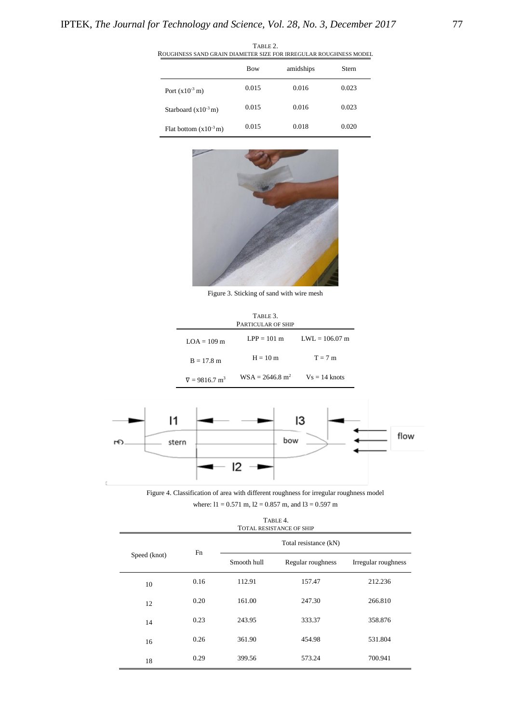| ROUGHNESS SAND GRAIN DIAMETER SIZE FOR IRREGULAR ROUGHNESS MODEL |            |           |       |
|------------------------------------------------------------------|------------|-----------|-------|
|                                                                  | <b>Bow</b> | amidships | Stern |
| Port $(x10^{-3} m)$                                              | 0.015      | 0.016     | 0.023 |
| Starboard $(x10^{-3} m)$                                         | 0.015      | 0.016     | 0.023 |
| Flat bottom $(x10^{-3} m)$                                       | 0.015      | 0.018     | 0.020 |

TABLE 2. ROUGHNESS SAND GRAIN DIAMETER SIZE FOR IRREGULAR ROUGHNESS MODEL



Figure 3. Sticking of sand with wire mesh

| TABLE 3<br>PARTICULAR OF SHIP    |                               |                  |  |
|----------------------------------|-------------------------------|------------------|--|
| $LOA = 109$ m                    | $LPP = 101 m$                 | $LWL = 106.07$ m |  |
| $B = 17.8$ m                     | $H = 10 m$                    | $T = 7$ m        |  |
| $\nabla = 9816.7$ m <sup>3</sup> | $WSA = 2646.8$ m <sup>2</sup> | $Vs = 14$ knots  |  |



Figure 4. Classification of area with different roughness for irregular roughness model where:  $11 = 0.571$  m,  $12 = 0.857$  m, and  $13 = 0.597$  m

|              |      |             | TABLE 4.<br><b>TOTAL RESISTANCE OF SHIP</b> |                     |
|--------------|------|-------------|---------------------------------------------|---------------------|
|              |      |             | Total resistance (kN)                       |                     |
| Speed (knot) | Fn   | Smooth hull | Regular roughness                           | Irregular roughness |
| 10           | 0.16 | 112.91      | 157.47                                      | 212.236             |
| 12           | 0.20 | 161.00      | 247.30                                      | 266.810             |
| 14           | 0.23 | 243.95      | 333.37                                      | 358.876             |
| 16           | 0.26 | 361.90      | 454.98                                      | 531.804             |
| 18           | 0.29 | 399.56      | 573.24                                      | 700.941             |